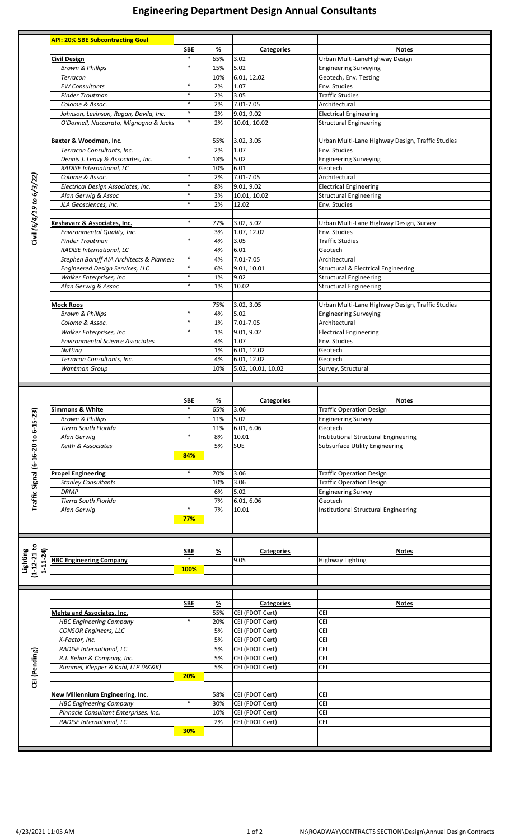## **Engineering Department Design Annual Consultants**

|                                            | <b>API: 20% SBE Subcontracting Goal</b>                        |                      |                           |                                    |                                                  |
|--------------------------------------------|----------------------------------------------------------------|----------------------|---------------------------|------------------------------------|--------------------------------------------------|
| Civil (6/4/19 to 6/3/22)                   |                                                                | <b>SBE</b>           | <u>%</u>                  | <b>Categories</b>                  | <b>Notes</b>                                     |
|                                            | <b>Civil Design</b>                                            | $\ast$               | 65%                       | 3.02                               | Urban Multi-LaneHighway Design                   |
|                                            | <b>Brown &amp; Phillips</b>                                    | *                    | 15%                       | 5.02                               | <b>Engineering Surveying</b>                     |
|                                            | Terracon                                                       | $\ast$               | 10%                       | 6.01, 12.02                        | Geotech, Env. Testing                            |
|                                            | <b>EW Consultants</b><br><b>Pinder Troutman</b>                | $\ast$               | 2%<br>2%                  | 1.07<br>3.05                       | Env. Studies<br><b>Traffic Studies</b>           |
|                                            | Colome & Assoc.                                                | $\ast$               | 2%                        | 7.01-7.05                          | Architectural                                    |
|                                            | Johnson, Levinson, Ragan, Davila, Inc.                         | $\ast$               | 2%                        | 9.01, 9.02                         | <b>Electrical Engineering</b>                    |
|                                            | O'Donnell, Naccarato, Mignogna & Jacks                         | $\ast$               | 2%                        | 10.01, 10.02                       | <b>Structural Engineering</b>                    |
|                                            |                                                                |                      |                           |                                    |                                                  |
|                                            | Baxter & Woodman, Inc.                                         |                      | 55%                       | 3.02, 3.05                         | Urban Multi-Lane Highway Design, Traffic Studies |
|                                            | Terracon Consultants, Inc.                                     | $\ast$               | 2%                        | 1.07<br>5.02                       | Env. Studies                                     |
|                                            | Dennis J. Leavy & Associates, Inc.<br>RADISE International, LC |                      | 18%<br>10%                | 6.01                               | <b>Engineering Surveying</b><br>Geotech          |
|                                            | Colome & Assoc.                                                | $\ast$               | 2%                        | 7.01-7.05                          | Architectural                                    |
|                                            | Electrical Design Associates, Inc.                             | $\ast$               | 8%                        | 9.01, 9.02                         | <b>Electrical Engineering</b>                    |
|                                            | Alan Gerwig & Assoc                                            | $\ast$               | 3%                        | 10.01, 10.02                       | <b>Structural Engineering</b>                    |
|                                            | JLA Geosciences, Inc.                                          | $\ast$               | 2%                        | 12.02                              | Env. Studies                                     |
|                                            |                                                                |                      |                           |                                    |                                                  |
|                                            | Keshavarz & Associates, Inc.                                   | $\ast$               | 77%                       | 3.02, 5.02                         | Urban Multi-Lane Highway Design, Survey          |
|                                            | Environmental Quality, Inc.<br>Pinder Troutman                 | $\ast$               | 3%<br>4%                  | 1.07, 12.02<br>3.05                | Env. Studies<br><b>Traffic Studies</b>           |
|                                            | RADISE International, LC                                       |                      | 4%                        | 6.01                               | Geotech                                          |
|                                            | Stephen Boruff AIA Architects & Planners                       | $\ast$               | 4%                        | 7.01-7.05                          | Architectural                                    |
|                                            | Engineered Design Services, LLC                                | $\ast$               | 6%                        | 9.01, 10.01                        | <b>Structural &amp; Electrical Engineering</b>   |
|                                            | Walker Enterprises, Inc                                        | $\ast$               | 1%                        | 9.02                               | <b>Structural Engineering</b>                    |
|                                            | Alan Gerwig & Assoc                                            | $\ast$               | 1%                        | 10.02                              | <b>Structural Engineering</b>                    |
|                                            |                                                                |                      |                           |                                    |                                                  |
|                                            | <b>Mock Roos</b>                                               | $\ast$               | 75%                       | 3.02, 3.05                         | Urban Multi-Lane Highway Design, Traffic Studies |
|                                            | <b>Brown &amp; Phillips</b><br>Colome & Assoc.                 | *                    | 4%<br>1%                  | 5.02<br>7.01-7.05                  | <b>Engineering Surveying</b><br>Architectural    |
|                                            | <b>Walker Enterprises, Inc.</b>                                | $\ast$               | 1%                        | 9.01, 9.02                         | <b>Electrical Engineering</b>                    |
|                                            | <b>Environmental Science Associates</b>                        |                      | 4%                        | 1.07                               | Env. Studies                                     |
|                                            | Nutting                                                        |                      | 1%                        | 6.01, 12.02                        | Geotech                                          |
|                                            | Terracon Consultants. Inc.                                     |                      | 4%                        | 6.01, 12.02                        | Geotech                                          |
|                                            | Wantman Group                                                  |                      | 10%                       | 5.02, 10.01, 10.02                 | Survey, Structural                               |
|                                            |                                                                |                      |                           |                                    |                                                  |
|                                            |                                                                | <b>SBE</b>           | <u>%</u>                  |                                    | <b>Notes</b>                                     |
|                                            |                                                                |                      |                           | <b>Categories</b>                  |                                                  |
|                                            |                                                                | $\ast$               |                           |                                    |                                                  |
|                                            | <b>Simmons &amp; White</b>                                     | $\ast$               | 65%                       | 3.06                               | <b>Traffic Operation Design</b>                  |
|                                            | <b>Brown &amp; Phillips</b><br>Tierra South Florida            |                      | 11%<br>11%                | 5.02<br>6.01, 6.06                 | <b>Engineering Survey</b><br>Geotech             |
|                                            | Alan Gerwig                                                    | $\ast$               | 8%                        | 10.01                              | Institutional Structural Engineering             |
|                                            | Keith & Associates                                             |                      | 5%                        | <b>SUE</b>                         | Subsurface Utility Engineering                   |
|                                            |                                                                | 84%                  |                           |                                    |                                                  |
|                                            |                                                                |                      |                           |                                    |                                                  |
|                                            | <b>Propel Engineering</b>                                      | $\ast$               | 70%                       | 3.06                               | <b>Traffic Operation Design</b>                  |
|                                            | <b>Stanley Consultants</b><br><b>DRMP</b>                      |                      | 10%<br>6%                 | 3.06                               | <b>Traffic Operation Design</b>                  |
|                                            | Tierra South Florida                                           |                      | 7%                        | 5.02<br>6.01, 6.06                 | <b>Engineering Survey</b><br>Geotech             |
| Traffic Signal (6-16-20 to 6-15-23)        | Alan Gerwig                                                    | $\ast$               | 7%                        | 10.01                              | Institutional Structural Engineering             |
|                                            |                                                                | 77%                  |                           |                                    |                                                  |
|                                            |                                                                |                      |                           |                                    |                                                  |
|                                            |                                                                |                      |                           |                                    |                                                  |
|                                            |                                                                | <b>SBE</b><br>$\ast$ | $\underline{\mathcal{H}}$ | <b>Categories</b>                  | <b>Notes</b>                                     |
|                                            | <b>HBC Engineering Company</b>                                 | 100%                 |                           | 9.05                               | <b>Highway Lighting</b>                          |
| $(1-12-21 to$<br>Lighting<br>$1 - 11 - 24$ |                                                                |                      |                           |                                    |                                                  |
|                                            |                                                                |                      |                           |                                    |                                                  |
|                                            |                                                                | <b>SBE</b>           |                           | <b>Categories</b>                  | <b>Notes</b>                                     |
|                                            | Mehta and Associates, Inc.                                     |                      | $\underline{\%}$<br>55%   | CEI (FDOT Cert)                    | <b>CEI</b>                                       |
|                                            | <b>HBC Engineering Company</b>                                 | $\ast$               | 20%                       | CEI (FDOT Cert)                    | <b>CEI</b>                                       |
|                                            | <b>CONSOR Engineers, LLC</b>                                   |                      | 5%                        | CEI (FDOT Cert)                    | CEI                                              |
|                                            | K-Factor, Inc.                                                 |                      | 5%                        | CEI (FDOT Cert)                    | <b>CEI</b>                                       |
|                                            | RADISE International, LC                                       |                      | 5%                        | CEI (FDOT Cert)                    | <b>CEI</b>                                       |
|                                            | R.J. Behar & Company, Inc.                                     |                      | 5%<br>5%                  | CEI (FDOT Cert)<br>CEI (FDOT Cert) | <b>CEI</b><br><b>CEI</b>                         |
|                                            | Rummel, Klepper & Kahl, LLP (RK&K)                             | 20%                  |                           |                                    |                                                  |
| CEI (Pending)                              |                                                                |                      |                           |                                    |                                                  |
|                                            | New Millennium Engineering, Inc.                               |                      | 58%                       | CEI (FDOT Cert)                    | <b>CEI</b>                                       |
|                                            | <b>HBC Engineering Company</b>                                 | $\ast$               | 30%                       | CEI (FDOT Cert)                    | <b>CEI</b>                                       |
|                                            | Pinnacle Consultant Enterprises, Inc.                          |                      | 10%                       | CEI (FDOT Cert)                    | <b>CEI</b>                                       |
|                                            | RADISE International, LC                                       |                      | 2%                        | CEI (FDOT Cert)                    | <b>CEI</b>                                       |
|                                            |                                                                | 30%                  |                           |                                    |                                                  |